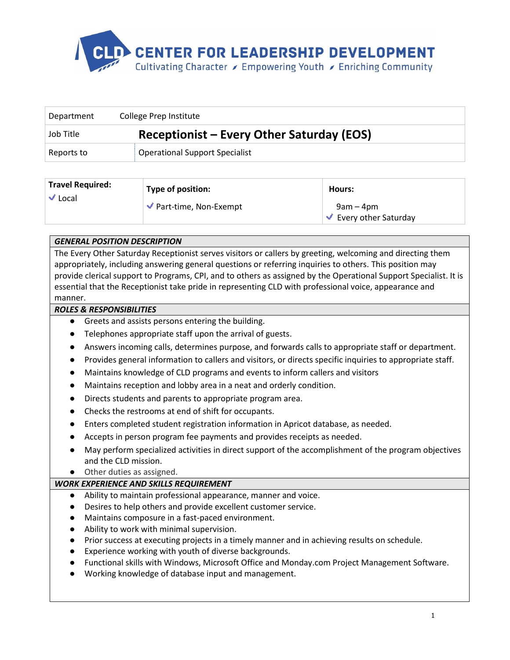

| Department | College Prep Institute                    |  |
|------------|-------------------------------------------|--|
| Job Title  | Receptionist – Every Other Saturday (EOS) |  |
| Reports to | <b>Operational Support Specialist</b>     |  |

| <b>Travel Required:</b><br>$\vee$ Local | Type of position:                           | Hours:                                        |
|-----------------------------------------|---------------------------------------------|-----------------------------------------------|
|                                         | $\blacktriangleright$ Part-time, Non-Exempt | 9am – 4pm<br><b>Every other Saturday</b><br>√ |

# *GENERAL POSITION DESCRIPTION*

The Every Other Saturday Receptionist serves visitors or callers by greeting, welcoming and directing them appropriately, including answering general questions or referring inquiries to others. This position may provide clerical support to Programs, CPI, and to others as assigned by the Operational Support Specialist. It is essential that the Receptionist take pride in representing CLD with professional voice, appearance and manner.

## *ROLES & RESPONSIBILITIES*

- Greets and assists persons entering the building.
- Telephones appropriate staff upon the arrival of guests.
- Answers incoming calls, determines purpose, and forwards calls to appropriate staff or department.
- Provides general information to callers and visitors, or directs specific inquiries to appropriate staff.
- Maintains knowledge of CLD programs and events to inform callers and visitors
- Maintains reception and lobby area in a neat and orderly condition.
- Directs students and parents to appropriate program area.
- Checks the restrooms at end of shift for occupants.
- Enters completed student registration information in Apricot database, as needed.
- Accepts in person program fee payments and provides receipts as needed.
- May perform specialized activities in direct support of the accomplishment of the program objectives and the CLD mission.
- Other duties as assigned.

### *WORK EXPERIENCE AND SKILLS REQUIREMENT*

- Ability to maintain professional appearance, manner and voice.
- Desires to help others and provide excellent customer service.
- Maintains composure in a fast-paced environment.
- Ability to work with minimal supervision.
- Prior success at executing projects in a timely manner and in achieving results on schedule.
- Experience working with youth of diverse backgrounds.
- Functional skills with Windows, Microsoft Office and Monday.com Project Management Software.
- Working knowledge of database input and management.